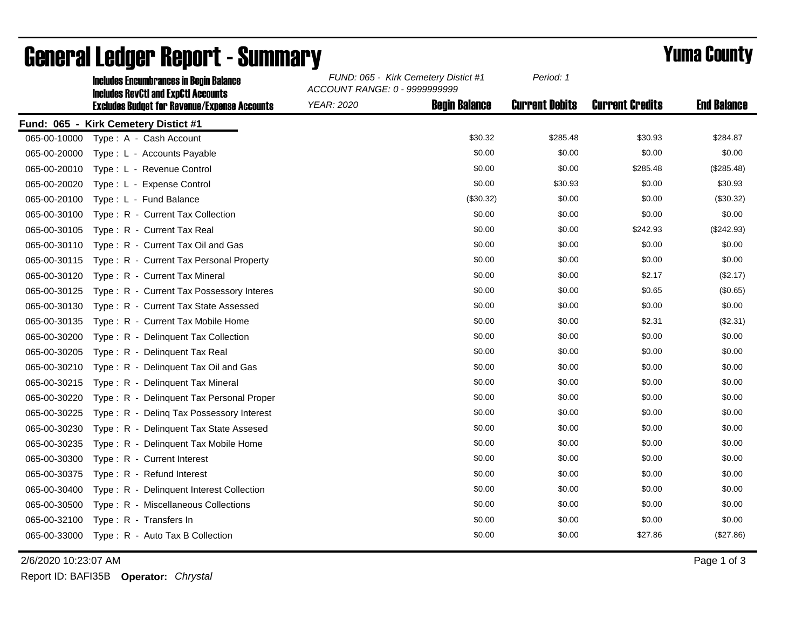|              | <b>Includes Encumbrances in Begin Balance</b><br><b>Includes RevCtI and ExpCtI Accounts</b> | FUND: 065 - Kirk Cemetery Distict #1<br>ACCOUNT RANGE: 0 - 9999999999 |                      | Period: 1             |                        |                    |
|--------------|---------------------------------------------------------------------------------------------|-----------------------------------------------------------------------|----------------------|-----------------------|------------------------|--------------------|
|              | <b>Excludes Budget for Revenue/Expense Accounts</b>                                         | <b>YEAR: 2020</b>                                                     | <b>Begin Balance</b> | <b>Current Debits</b> | <b>Current Credits</b> | <b>End Balance</b> |
|              | Fund: 065 - Kirk Cemetery Distict #1                                                        |                                                                       |                      |                       |                        |                    |
| 065-00-10000 | Type: A - Cash Account                                                                      |                                                                       | \$30.32              | \$285.48              | \$30.93                | \$284.87           |
| 065-00-20000 | Type: L - Accounts Payable                                                                  |                                                                       | \$0.00               | \$0.00                | \$0.00                 | \$0.00             |
| 065-00-20010 | Type: L - Revenue Control                                                                   |                                                                       | \$0.00               | \$0.00                | \$285.48               | (\$285.48)         |
| 065-00-20020 | Type: L - Expense Control                                                                   |                                                                       | \$0.00               | \$30.93               | \$0.00                 | \$30.93            |
| 065-00-20100 | Type: L - Fund Balance                                                                      |                                                                       | (\$30.32)            | \$0.00                | \$0.00                 | (\$30.32)          |
| 065-00-30100 | Type: R - Current Tax Collection                                                            |                                                                       | \$0.00               | \$0.00                | \$0.00                 | \$0.00             |
| 065-00-30105 | Type: R - Current Tax Real                                                                  |                                                                       | \$0.00               | \$0.00                | \$242.93               | (\$242.93)         |
| 065-00-30110 | Type: R - Current Tax Oil and Gas                                                           |                                                                       | \$0.00               | \$0.00                | \$0.00                 | \$0.00             |
| 065-00-30115 | Type: R - Current Tax Personal Property                                                     |                                                                       | \$0.00               | \$0.00                | \$0.00                 | \$0.00             |
| 065-00-30120 | Type: R - Current Tax Mineral                                                               |                                                                       | \$0.00               | \$0.00                | \$2.17                 | (\$2.17)           |
| 065-00-30125 | Type: R - Current Tax Possessory Interes                                                    |                                                                       | \$0.00               | \$0.00                | \$0.65                 | (\$0.65)           |
| 065-00-30130 | Type: R - Current Tax State Assessed                                                        |                                                                       | \$0.00               | \$0.00                | \$0.00                 | \$0.00             |
| 065-00-30135 | Type: R - Current Tax Mobile Home                                                           |                                                                       | \$0.00               | \$0.00                | \$2.31                 | (\$2.31)           |
| 065-00-30200 | Type: R - Delinquent Tax Collection                                                         |                                                                       | \$0.00               | \$0.00                | \$0.00                 | \$0.00             |
| 065-00-30205 | Type: R - Delinquent Tax Real                                                               |                                                                       | \$0.00               | \$0.00                | \$0.00                 | \$0.00             |
| 065-00-30210 | Type: R - Delinguent Tax Oil and Gas                                                        |                                                                       | \$0.00               | \$0.00                | \$0.00                 | \$0.00             |
| 065-00-30215 | Type: R - Delinquent Tax Mineral                                                            |                                                                       | \$0.00               | \$0.00                | \$0.00                 | \$0.00             |
| 065-00-30220 | Type: R - Delinquent Tax Personal Proper                                                    |                                                                       | \$0.00               | \$0.00                | \$0.00                 | \$0.00             |
| 065-00-30225 | Type: R - Deling Tax Possessory Interest                                                    |                                                                       | \$0.00               | \$0.00                | \$0.00                 | \$0.00             |
| 065-00-30230 | Type: R - Delinquent Tax State Assesed                                                      |                                                                       | \$0.00               | \$0.00                | \$0.00                 | \$0.00             |
| 065-00-30235 | Type: R - Delinquent Tax Mobile Home                                                        |                                                                       | \$0.00               | \$0.00                | \$0.00                 | \$0.00             |
| 065-00-30300 | Type: R - Current Interest                                                                  |                                                                       | \$0.00               | \$0.00                | \$0.00                 | \$0.00             |
| 065-00-30375 | Type: R - Refund Interest                                                                   |                                                                       | \$0.00               | \$0.00                | \$0.00                 | \$0.00             |
| 065-00-30400 | Type: R - Delinquent Interest Collection                                                    |                                                                       | \$0.00               | \$0.00                | \$0.00                 | \$0.00             |
| 065-00-30500 | Type: R - Miscellaneous Collections                                                         |                                                                       | \$0.00               | \$0.00                | \$0.00                 | \$0.00             |
| 065-00-32100 | Type: R - Transfers In                                                                      |                                                                       | \$0.00               | \$0.00                | \$0.00                 | \$0.00             |
| 065-00-33000 | Type: R - Auto Tax B Collection                                                             |                                                                       | \$0.00               | \$0.00                | \$27.86                | (\$27.86)          |

## General Ledger Report - Summary **Example 2018** Yuma County

2/6/2020 10:23:07 AM Page 1 of 3

Report ID: BAFI35B **Operator:** *Chrystal*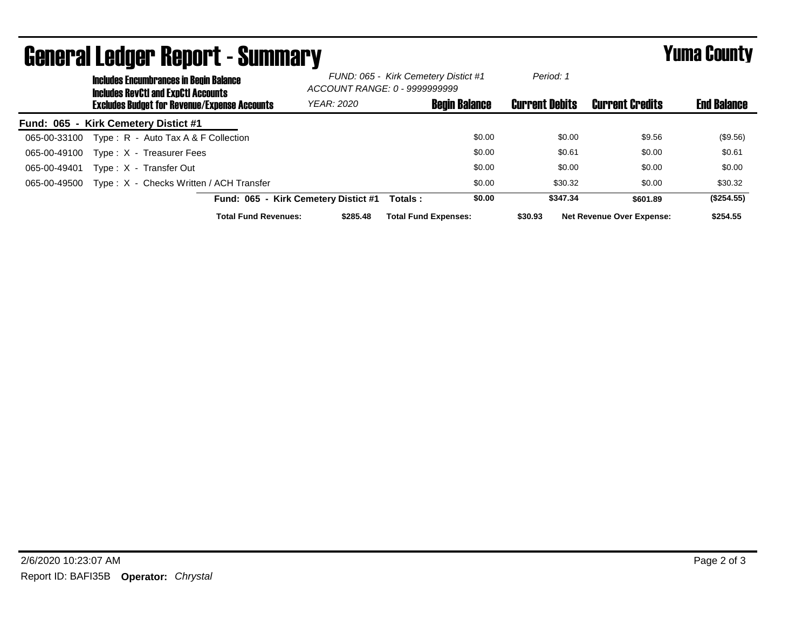| <b>General Ledger Report - Summary</b> |                                                                                             |                             |                                                                       |                             | <b>Yuma County</b>    |                                  |                    |
|----------------------------------------|---------------------------------------------------------------------------------------------|-----------------------------|-----------------------------------------------------------------------|-----------------------------|-----------------------|----------------------------------|--------------------|
|                                        | <b>Includes Encumbrances in Begin Balance</b><br><b>Includes RevCtI and ExpCtI Accounts</b> |                             | FUND: 065 - Kirk Cemetery Distict #1<br>ACCOUNT RANGE: 0 - 9999999999 |                             | Period: 1             |                                  |                    |
|                                        | <b>Excludes Budget for Revenue/Expense Accounts</b>                                         |                             | <b>YEAR: 2020</b>                                                     | <b>Begin Balance</b>        | <b>Current Debits</b> | <b>Current Credits</b>           | <b>End Balance</b> |
|                                        | Fund: 065 - Kirk Cemetery Distict #1                                                        |                             |                                                                       |                             |                       |                                  |                    |
| 065-00-33100                           | Type: $R -$ Auto Tax A & F Collection                                                       |                             |                                                                       | \$0.00                      | \$0.00                | \$9.56                           | (\$9.56)           |
| 065-00-49100                           | Type: X - Treasurer Fees                                                                    |                             |                                                                       | \$0.00                      | \$0.61                | \$0.00                           | \$0.61             |
| 065-00-49401                           | Type: X - Transfer Out                                                                      |                             |                                                                       | \$0.00                      | \$0.00                | \$0.00                           | \$0.00             |
| 065-00-49500                           | Type: X - Checks Written / ACH Transfer                                                     |                             |                                                                       | \$0.00                      | \$30.32               | \$0.00                           | \$30.32            |
|                                        |                                                                                             |                             | Fund: 065 - Kirk Cemetery Distict #1                                  | \$0.00<br>Totals :          | \$347.34              | \$601.89                         | (\$254.55)         |
|                                        |                                                                                             | <b>Total Fund Revenues:</b> | \$285.48                                                              | <b>Total Fund Expenses:</b> | \$30.93               | <b>Net Revenue Over Expense:</b> | \$254.55           |